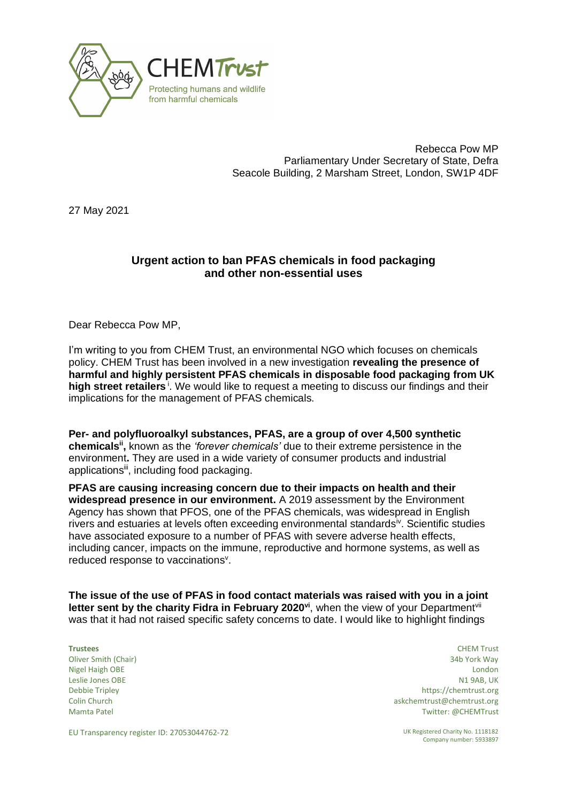

Rebecca Pow MP Parliamentary Under Secretary of State, Defra Seacole Building, 2 Marsham Street, London, SW1P 4DF

27 May 2021

## **Urgent action to ban PFAS chemicals in food packaging and other non-essential uses**

Dear Rebecca Pow MP,

I'm writing to you from CHEM Trust, an environmental NGO which focuses on chemicals policy. CHEM Trust has been involved in a new investigation **revealing the presence of harmful and highly persistent PFAS chemicals in disposable food packaging from UK**  high street retailers<sup>i</sup>. We would like to request a meeting to discuss our findings and their implications for the management of PFAS chemicals.

**Per- and polyfluoroalkyl substances, PFAS, are a group of over 4,500 synthetic chemicalsii ,** known as the *'forever chemicals'* due to their extreme persistence in the environment**.** They are used in a wide variety of consumer products and industrial applications<sup>iii</sup>, including food packaging.

**PFAS are causing increasing concern due to their impacts on health and their widespread presence in our environment.** A 2019 assessment by the Environment Agency has shown that PFOS, one of the PFAS chemicals, was widespread in English rivers and estuaries at levels often exceeding environmental standards<sup>iv</sup>. Scientific studies have associated exposure to a number of PFAS with severe adverse health effects, including cancer, impacts on the immune, reproductive and hormone systems, as well as reduced response to vaccinations<sup>v</sup>.

**The issue of the use of PFAS in food contact materials was raised with you in a joint letter sent by the charity Fidra in February 2020<sup>vi</sup>, when the view of your Department<sup>vii</sup>** was that it had not raised specific safety concerns to date. I would like to highlight findings

Leslie Jones OBE Debbie Tripley Colin Church Mamta Patel

**Trustees** CHEM Trust Oliver Smith (Chair) 34b York Way Nigel Haigh OBE London N1 9AB, UK https://chemtrust.org askchemtrust@chemtrust.org Twitter: @CHEMTrust

EU Transparency register ID: 27053044762-72 UK Registered Charity No. 1118182

Company number: 5933897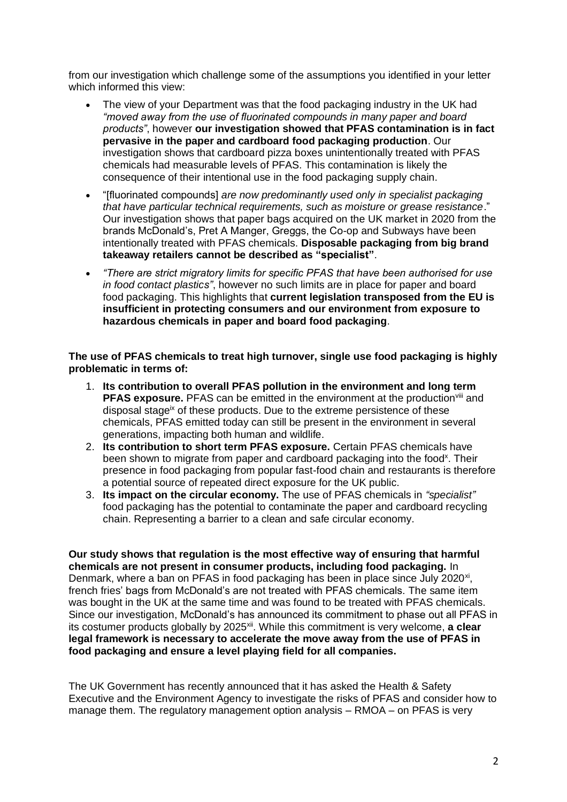from our investigation which challenge some of the assumptions you identified in your letter which informed this view:

- The view of your Department was that the food packaging industry in the UK had *"moved away from the use of fluorinated compounds in many paper and board products"*, however **our investigation showed that PFAS contamination is in fact pervasive in the paper and cardboard food packaging production**. Our investigation shows that cardboard pizza boxes unintentionally treated with PFAS chemicals had measurable levels of PFAS. This contamination is likely the consequence of their intentional use in the food packaging supply chain.
- "[fluorinated compounds] *are now predominantly used only in specialist packaging that have particular technical requirements, such as moisture or grease resistance*." Our investigation shows that paper bags acquired on the UK market in 2020 from the brands McDonald's, Pret A Manger, Greggs, the Co-op and Subways have been intentionally treated with PFAS chemicals. **Disposable packaging from big brand takeaway retailers cannot be described as "specialist"**.
- *"There are strict migratory limits for specific PFAS that have been authorised for use in food contact plastics"*, however no such limits are in place for paper and board food packaging. This highlights that **current legislation transposed from the EU is insufficient in protecting consumers and our environment from exposure to hazardous chemicals in paper and board food packaging**.

**The use of PFAS chemicals to treat high turnover, single use food packaging is highly problematic in terms of:**

- 1. **Its contribution to overall PFAS pollution in the environment and long term PFAS exposure.** PFAS can be emitted in the environment at the production<sup>viii</sup> and disposal stage<sup>ix</sup> of these products. Due to the extreme persistence of these chemicals, PFAS emitted today can still be present in the environment in several generations, impacting both human and wildlife.
- 2. **Its contribution to short term PFAS exposure.** Certain PFAS chemicals have been shown to migrate from paper and cardboard packaging into the food<sup>x</sup>. Their presence in food packaging from popular fast-food chain and restaurants is therefore a potential source of repeated direct exposure for the UK public.
- 3. **Its impact on the circular economy.** The use of PFAS chemicals in *"specialist"* food packaging has the potential to contaminate the paper and cardboard recycling chain. Representing a barrier to a clean and safe circular economy.

**Our study shows that regulation is the most effective way of ensuring that harmful chemicals are not present in consumer products, including food packaging.** In Denmark, where a ban on PFAS in food packaging has been in place since July 2020<sup>xi</sup>, french fries' bags from McDonald's are not treated with PFAS chemicals. The same item was bought in the UK at the same time and was found to be treated with PFAS chemicals. Since our investigation, McDonald's has announced its commitment to phase out all PFAS in its costumer products globally by 2025<sup>xii</sup>. While this commitment is very welcome, a clear **legal framework is necessary to accelerate the move away from the use of PFAS in food packaging and ensure a level playing field for all companies.**

The UK Government has recently announced that it has asked the Health & Safety Executive and the Environment Agency to investigate the risks of PFAS and consider how to manage them. The regulatory management option analysis – RMOA – on PFAS is very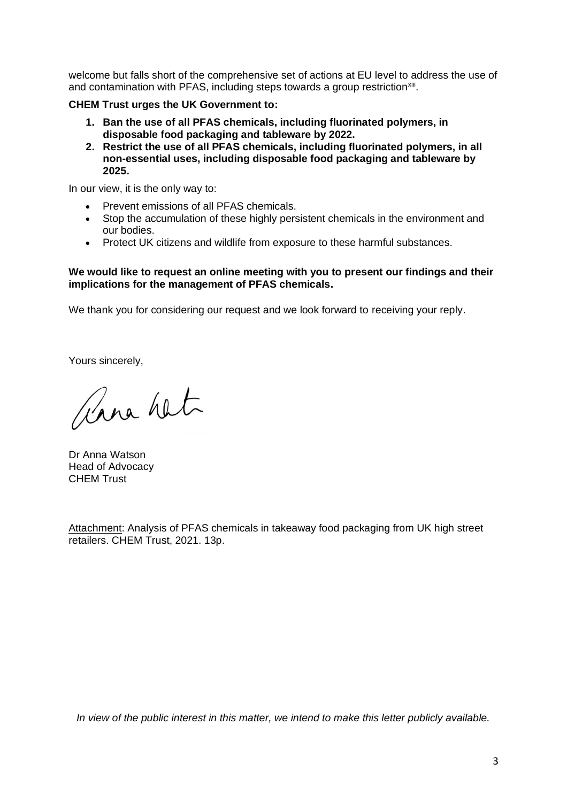welcome but falls short of the comprehensive set of actions at EU level to address the use of and contamination with PFAS, including steps towards a group restriction $x$ iii.

## **CHEM Trust urges the UK Government to:**

- **1. Ban the use of all PFAS chemicals, including fluorinated polymers, in disposable food packaging and tableware by 2022.**
- **2. Restrict the use of all PFAS chemicals, including fluorinated polymers, in all non-essential uses, including disposable food packaging and tableware by 2025.**

In our view, it is the only way to:

- Prevent emissions of all PFAS chemicals.
- Stop the accumulation of these highly persistent chemicals in the environment and our bodies.
- Protect UK citizens and wildlife from exposure to these harmful substances.

## **We would like to request an online meeting with you to present our findings and their implications for the management of PFAS chemicals.**

We thank you for considering our request and we look forward to receiving your reply.

Yours sincerely,

Para hat

Dr Anna Watson Head of Advocacy CHEM Trust

Attachment: Analysis of PFAS chemicals in takeaway food packaging from UK high street retailers. CHEM Trust, 2021. 13p.

*In view of the public interest in this matter, we intend to make this letter publicly available.*